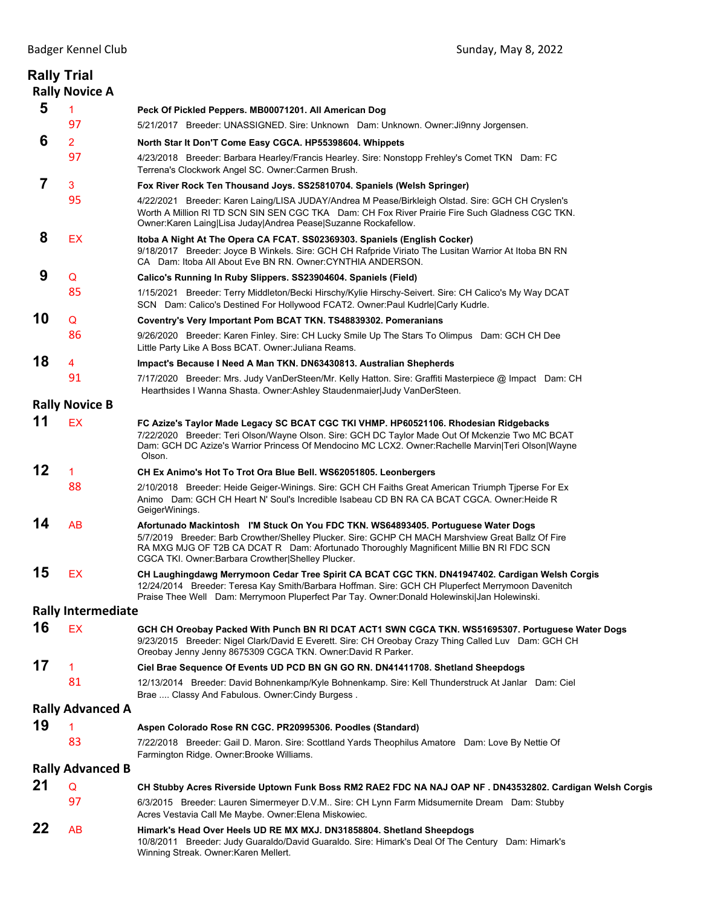|    | <b>Rally Trial</b><br><b>Rally Novice A</b> |                                                                                                                                                                                                                                                                                                                                         |
|----|---------------------------------------------|-----------------------------------------------------------------------------------------------------------------------------------------------------------------------------------------------------------------------------------------------------------------------------------------------------------------------------------------|
| 5  | 1                                           | Peck Of Pickled Peppers. MB00071201. All American Dog                                                                                                                                                                                                                                                                                   |
|    | 97                                          | 5/21/2017 Breeder: UNASSIGNED. Sire: Unknown Dam: Unknown. Owner: Ji9nny Jorgensen.                                                                                                                                                                                                                                                     |
| 6  | $\overline{2}$                              | North Star It Don'T Come Easy CGCA. HP55398604. Whippets                                                                                                                                                                                                                                                                                |
|    | 97                                          | 4/23/2018 Breeder: Barbara Hearley/Francis Hearley. Sire: Nonstopp Frehley's Comet TKN Dam: FC<br>Terrena's Clockwork Angel SC. Owner: Carmen Brush.                                                                                                                                                                                    |
| 7  | 3                                           | Fox River Rock Ten Thousand Joys. SS25810704. Spaniels (Welsh Springer)                                                                                                                                                                                                                                                                 |
|    | 95                                          | 4/22/2021 Breeder: Karen Laing/LISA JUDAY/Andrea M Pease/Birkleigh Olstad. Sire: GCH CH Cryslen's<br>Worth A Million RI TD SCN SIN SEN CGC TKA Dam: CH Fox River Prairie Fire Such Gladness CGC TKN.<br>Owner: Karen Laing Lisa Juday Andrea Pease Suzanne Rockafellow.                                                                 |
| 8  | EX                                          | Itoba A Night At The Opera CA FCAT. SS02369303. Spaniels (English Cocker)<br>9/18/2017 Breeder: Joyce B Winkels. Sire: GCH CH Rafpride Viriato The Lusitan Warrior At Itoba BN RN<br>CA Dam: Itoba All About Eve BN RN. Owner: CYNTHIA ANDERSON.                                                                                        |
| 9  | Q                                           | Calico's Running In Ruby Slippers. SS23904604. Spaniels (Field)                                                                                                                                                                                                                                                                         |
|    | 85                                          | 1/15/2021 Breeder: Terry Middleton/Becki Hirschy/Kylie Hirschy-Seivert. Sire: CH Calico's My Way DCAT<br>SCN Dam: Calico's Destined For Hollywood FCAT2. Owner:Paul Kudrle Carly Kudrle.                                                                                                                                                |
| 10 | Q                                           | Coventry's Very Important Pom BCAT TKN. TS48839302. Pomeranians                                                                                                                                                                                                                                                                         |
|    | 86                                          | 9/26/2020 Breeder: Karen Finley. Sire: CH Lucky Smile Up The Stars To Olimpus Dam: GCH CH Dee<br>Little Party Like A Boss BCAT. Owner: Juliana Reams.                                                                                                                                                                                   |
| 18 | 4                                           | Impact's Because I Need A Man TKN. DN63430813. Australian Shepherds                                                                                                                                                                                                                                                                     |
|    | 91                                          | 7/17/2020 Breeder: Mrs. Judy VanDerSteen/Mr. Kelly Hatton. Sire: Graffiti Masterpiece @ Impact Dam: CH<br>Hearthsides I Wanna Shasta. Owner:Ashley Staudenmaier Judy VanDerSteen.                                                                                                                                                       |
|    | <b>Rally Novice B</b>                       |                                                                                                                                                                                                                                                                                                                                         |
| 11 | EX                                          | FC Azize's Taylor Made Legacy SC BCAT CGC TKI VHMP. HP60521106. Rhodesian Ridgebacks<br>7/22/2020 Breeder: Teri Olson/Wayne Olson. Sire: GCH DC Taylor Made Out Of Mckenzie Two MC BCAT<br>Dam: GCH DC Azize's Warrior Princess Of Mendocino MC LCX2. Owner:Rachelle Marvin Teri Olson Wayne<br>Olson.                                  |
| 12 | $\mathbf{1}$                                | CH Ex Animo's Hot To Trot Ora Blue Bell. WS62051805. Leonbergers                                                                                                                                                                                                                                                                        |
|    | 88                                          | 2/10/2018 Breeder: Heide Geiger-Winings. Sire: GCH CH Faiths Great American Triumph Tjperse For Ex<br>Animo Dam: GCH CH Heart N' Soul's Incredible Isabeau CD BN RA CA BCAT CGCA. Owner: Heide R<br>GeigerWinings.                                                                                                                      |
| 14 | <b>AB</b>                                   | Afortunado Mackintosh I'M Stuck On You FDC TKN. WS64893405. Portuguese Water Dogs<br>5/7/2019 Breeder: Barb Crowther/Shelley Plucker. Sire: GCHP CH MACH Marshview Great Ballz Of Fire<br>RA MXG MJG OF T2B CA DCAT R Dam: Afortunado Thoroughly Magnificent Millie BN RI FDC SCN<br>CGCA TKI. Owner: Barbara Crowther Shelley Plucker. |
| 15 | EX                                          | CH Laughingdawg Merrymoon Cedar Tree Spirit CA BCAT CGC TKN. DN41947402. Cardigan Welsh Corgis<br>12/24/2014 Breeder: Teresa Kay Smith/Barbara Hoffman. Sire: GCH CH Pluperfect Merrymoon Davenitch<br>Praise Thee Well Dam: Merrymoon Pluperfect Par Tay. Owner: Donald Holewinski Jan Holewinski.                                     |
|    | <b>Rally Intermediate</b>                   |                                                                                                                                                                                                                                                                                                                                         |
| 16 | <b>EX</b>                                   | GCH CH Oreobay Packed With Punch BN RI DCAT ACT1 SWN CGCA TKN. WS51695307. Portuguese Water Dogs<br>9/23/2015 Breeder: Nigel Clark/David E Everett. Sire: CH Oreobay Crazy Thing Called Luv Dam: GCH CH<br>Oreobay Jenny Jenny 8675309 CGCA TKN. Owner:David R Parker.                                                                  |
| 17 | 1                                           | Ciel Brae Sequence Of Events UD PCD BN GN GO RN. DN41411708. Shetland Sheepdogs                                                                                                                                                                                                                                                         |
|    | 81                                          | 12/13/2014 Breeder: David Bohnenkamp/Kyle Bohnenkamp. Sire: Kell Thunderstruck At Janlar Dam: Ciel<br>Brae  Classy And Fabulous. Owner: Cindy Burgess.                                                                                                                                                                                  |
|    | <b>Rally Advanced A</b>                     |                                                                                                                                                                                                                                                                                                                                         |
| 19 | 1                                           | Aspen Colorado Rose RN CGC. PR20995306. Poodles (Standard)                                                                                                                                                                                                                                                                              |
|    | 83                                          | 7/22/2018 Breeder: Gail D. Maron. Sire: Scottland Yards Theophilus Amatore Dam: Love By Nettie Of<br>Farmington Ridge. Owner: Brooke Williams.                                                                                                                                                                                          |
|    | <b>Rally Advanced B</b>                     |                                                                                                                                                                                                                                                                                                                                         |
| 21 | Q                                           | CH Stubby Acres Riverside Uptown Funk Boss RM2 RAE2 FDC NA NAJ OAP NF . DN43532802. Cardigan Welsh Corgis                                                                                                                                                                                                                               |
|    | 97                                          | 6/3/2015 Breeder: Lauren Simermeyer D.V.M Sire: CH Lynn Farm Midsumernite Dream Dam: Stubby<br>Acres Vestavia Call Me Maybe. Owner: Elena Miskowiec.                                                                                                                                                                                    |
| 22 | AB                                          | Himark's Head Over Heels UD RE MX MXJ. DN31858804. Shetland Sheepdogs<br>10/8/2011 Breeder: Judy Guaraldo/David Guaraldo. Sire: Himark's Deal Of The Century Dam: Himark's<br>Winning Streak. Owner: Karen Mellert.                                                                                                                     |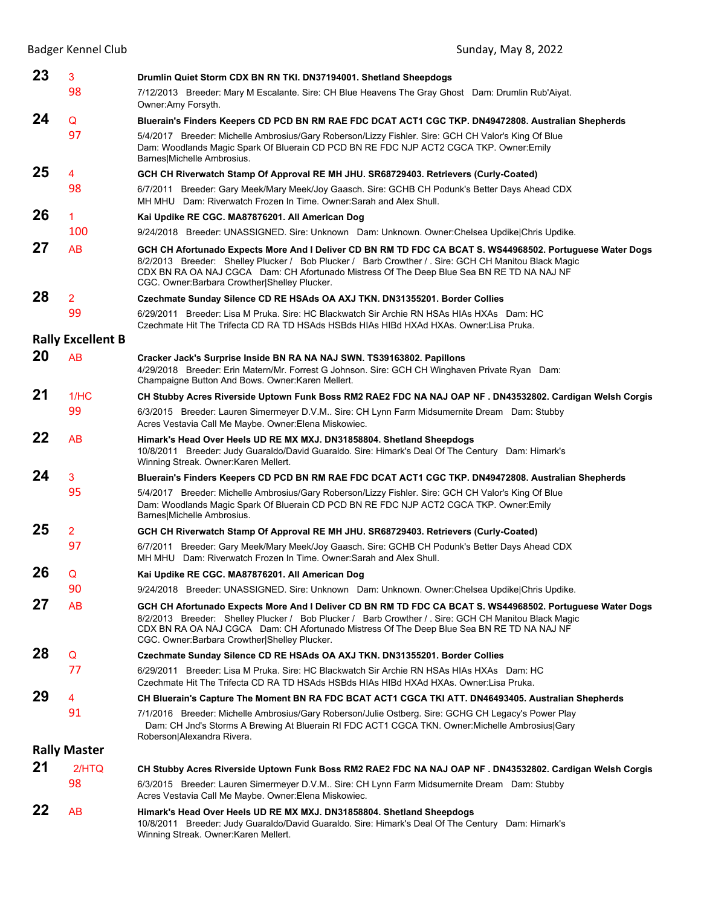|                     | <b>Badger Kennel Club</b> | Sunday, May 8, 2022                                                                                                                                                                                                                                                                                                                                             |  |  |
|---------------------|---------------------------|-----------------------------------------------------------------------------------------------------------------------------------------------------------------------------------------------------------------------------------------------------------------------------------------------------------------------------------------------------------------|--|--|
| 23                  | 3                         | Drumlin Quiet Storm CDX BN RN TKI. DN37194001. Shetland Sheepdogs                                                                                                                                                                                                                                                                                               |  |  |
|                     | 98                        | 7/12/2013 Breeder: Mary M Escalante. Sire: CH Blue Heavens The Gray Ghost Dam: Drumlin Rub'Aiyat.<br>Owner:Amy Forsyth.                                                                                                                                                                                                                                         |  |  |
| 24                  | Q                         | Bluerain's Finders Keepers CD PCD BN RM RAE FDC DCAT ACT1 CGC TKP. DN49472808. Australian Shepherds                                                                                                                                                                                                                                                             |  |  |
|                     | 97                        | 5/4/2017 Breeder: Michelle Ambrosius/Gary Roberson/Lizzy Fishler. Sire: GCH CH Valor's King Of Blue<br>Dam: Woodlands Magic Spark Of Bluerain CD PCD BN RE FDC NJP ACT2 CGCA TKP. Owner: Emily<br>Barnes Michelle Ambrosius.                                                                                                                                    |  |  |
| 25                  | 4                         | GCH CH Riverwatch Stamp Of Approval RE MH JHU. SR68729403. Retrievers (Curly-Coated)                                                                                                                                                                                                                                                                            |  |  |
|                     | 98                        | 6/7/2011 Breeder: Gary Meek/Mary Meek/Joy Gaasch. Sire: GCHB CH Podunk's Better Days Ahead CDX<br>MH MHU Dam: Riverwatch Frozen In Time, Owner: Sarah and Alex Shull.                                                                                                                                                                                           |  |  |
| 26                  | 1.                        | Kai Updike RE CGC. MA87876201. All American Dog                                                                                                                                                                                                                                                                                                                 |  |  |
|                     | 100                       | 9/24/2018 Breeder: UNASSIGNED. Sire: Unknown Dam: Unknown. Owner: Chelsea Updike Chris Updike.                                                                                                                                                                                                                                                                  |  |  |
| 27                  | AB                        | GCH CH Afortunado Expects More And I Deliver CD BN RM TD FDC CA BCAT S. WS44968502. Portuguese Water Dogs<br>8/2/2013 Breeder: Shelley Plucker / Bob Plucker / Barb Crowther / Sire: GCH CH Manitou Black Magic<br>CDX BN RA OA NAJ CGCA Dam: CH Afortunado Mistress Of The Deep Blue Sea BN RE TD NA NAJ NF<br>CGC. Owner: Barbara Crowther Shelley Plucker.   |  |  |
| 28                  | 2                         | Czechmate Sunday Silence CD RE HSAds OA AXJ TKN. DN31355201. Border Collies                                                                                                                                                                                                                                                                                     |  |  |
|                     | 99                        | 6/29/2011 Breeder: Lisa M Pruka, Sire: HC Blackwatch Sir Archie RN HSAs HIAs HXAs Dam: HC<br>Czechmate Hit The Trifecta CD RA TD HSAds HSBds HIAs HIBd HXAd HXAs, Owner: Lisa Pruka.                                                                                                                                                                            |  |  |
|                     | <b>Rally Excellent B</b>  |                                                                                                                                                                                                                                                                                                                                                                 |  |  |
| 20                  | AB                        | Cracker Jack's Surprise Inside BN RA NA NAJ SWN. TS39163802. Papillons<br>4/29/2018 Breeder: Erin Matern/Mr. Forrest G Johnson. Sire: GCH CH Winghaven Private Ryan Dam:<br>Champaigne Button And Bows. Owner: Karen Mellert.                                                                                                                                   |  |  |
| 21                  | 1/HC                      | CH Stubby Acres Riverside Uptown Funk Boss RM2 RAE2 FDC NA NAJ OAP NF . DN43532802. Cardigan Welsh Corgis                                                                                                                                                                                                                                                       |  |  |
|                     | 99                        | 6/3/2015 Breeder: Lauren Simermeyer D.V.M Sire: CH Lynn Farm Midsumernite Dream Dam: Stubby<br>Acres Vestavia Call Me Maybe. Owner: Elena Miskowiec.                                                                                                                                                                                                            |  |  |
| 22                  | AB                        | Himark's Head Over Heels UD RE MX MXJ. DN31858804. Shetland Sheepdogs<br>10/8/2011 Breeder: Judy Guaraldo/David Guaraldo. Sire: Himark's Deal Of The Century Dam: Himark's<br>Winning Streak. Owner: Karen Mellert.                                                                                                                                             |  |  |
| 24                  | 3                         | Bluerain's Finders Keepers CD PCD BN RM RAE FDC DCAT ACT1 CGC TKP. DN49472808. Australian Shepherds                                                                                                                                                                                                                                                             |  |  |
|                     | 95                        | 5/4/2017 Breeder: Michelle Ambrosius/Gary Roberson/Lizzy Fishler. Sire: GCH CH Valor's King Of Blue<br>Dam: Woodlands Magic Spark Of Bluerain CD PCD BN RE FDC NJP ACT2 CGCA TKP. Owner: Emily<br>Barnes Michelle Ambrosius.                                                                                                                                    |  |  |
| 25                  | 2                         | GCH CH Riverwatch Stamp Of Approval RE MH JHU. SR68729403. Retrievers (Curly-Coated)                                                                                                                                                                                                                                                                            |  |  |
|                     | 97                        | 6/7/2011 Breeder: Gary Meek/Mary Meek/Joy Gaasch. Sire: GCHB CH Podunk's Better Days Ahead CDX<br>MH MHU Dam: Riverwatch Frozen In Time. Owner:Sarah and Alex Shull.                                                                                                                                                                                            |  |  |
| 26                  | Q                         | Kai Updike RE CGC. MA87876201. All American Dog                                                                                                                                                                                                                                                                                                                 |  |  |
|                     | 90                        | 9/24/2018 Breeder: UNASSIGNED. Sire: Unknown Dam: Unknown. Owner: Chelsea Updike Chris Updike.                                                                                                                                                                                                                                                                  |  |  |
| 27                  | <b>AB</b>                 | GCH CH Afortunado Expects More And I Deliver CD BN RM TD FDC CA BCAT S. WS44968502. Portuguese Water Dogs<br>8/2/2013 Breeder: Shelley Plucker / Bob Plucker / Barb Crowther / . Sire: GCH CH Manitou Black Magic<br>CDX BN RA OA NAJ CGCA Dam: CH Afortunado Mistress Of The Deep Blue Sea BN RE TD NA NAJ NF<br>CGC. Owner: Barbara Crowther Shelley Plucker. |  |  |
| 28                  | Q                         | Czechmate Sunday Silence CD RE HSAds OA AXJ TKN. DN31355201. Border Collies                                                                                                                                                                                                                                                                                     |  |  |
|                     | 77                        | 6/29/2011 Breeder: Lisa M Pruka. Sire: HC Blackwatch Sir Archie RN HSAs HIAs HXAs Dam: HC<br>Czechmate Hit The Trifecta CD RA TD HSAds HSBds HIAs HIBd HXAd HXAs. Owner:Lisa Pruka.                                                                                                                                                                             |  |  |
| 29                  | 4                         | CH Bluerain's Capture The Moment BN RA FDC BCAT ACT1 CGCA TKI ATT. DN46493405. Australian Shepherds                                                                                                                                                                                                                                                             |  |  |
|                     | 91                        | 7/1/2016 Breeder: Michelle Ambrosius/Gary Roberson/Julie Ostberg. Sire: GCHG CH Legacy's Power Play<br>Dam: CH Jnd's Storms A Brewing At Bluerain RI FDC ACT1 CGCA TKN. Owner: Michelle Ambrosius Gary<br>Roberson Alexandra Rivera.                                                                                                                            |  |  |
| <b>Rally Master</b> |                           |                                                                                                                                                                                                                                                                                                                                                                 |  |  |
| 21                  | 2/HTQ                     | CH Stubby Acres Riverside Uptown Funk Boss RM2 RAE2 FDC NA NAJ OAP NF. DN43532802. Cardigan Welsh Corgis                                                                                                                                                                                                                                                        |  |  |
|                     | 98                        | 6/3/2015 Breeder: Lauren Simermeyer D.V.M Sire: CH Lynn Farm Midsumernite Dream Dam: Stubby<br>Acres Vestavia Call Me Maybe. Owner: Elena Miskowiec.                                                                                                                                                                                                            |  |  |
| 22                  | AB                        | Himark's Head Over Heels UD RE MX MXJ. DN31858804. Shetland Sheepdogs<br>10/8/2011 Breeder: Judy Guaraldo/David Guaraldo. Sire: Himark's Deal Of The Century Dam: Himark's<br>Winning Streak. Owner: Karen Mellert.                                                                                                                                             |  |  |